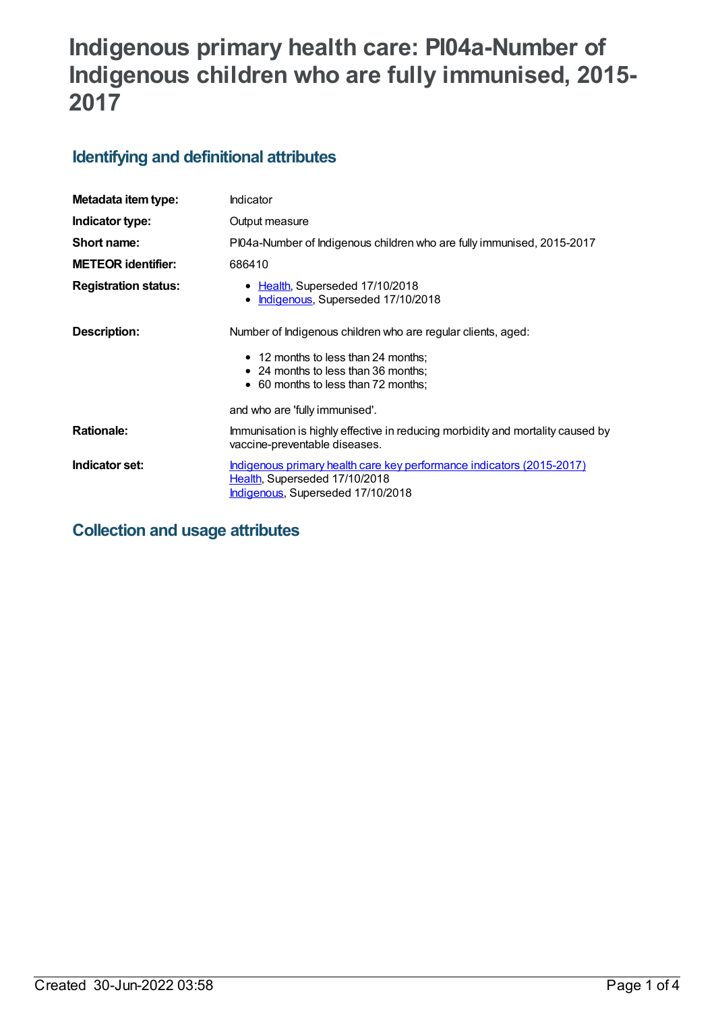# **Indigenous primary health care: PI04a-Number of Indigenous children who are fully immunised, 2015- 2017**

## **Identifying and definitional attributes**

| Metadata item type:         | Indicator                                                                                                                                                                         |
|-----------------------------|-----------------------------------------------------------------------------------------------------------------------------------------------------------------------------------|
| Indicator type:             | Output measure                                                                                                                                                                    |
| Short name:                 | PI04a-Number of Indigenous children who are fully immunised, 2015-2017                                                                                                            |
| <b>METEOR identifier:</b>   | 686410                                                                                                                                                                            |
| <b>Registration status:</b> | • Health, Superseded 17/10/2018<br>Indigenous, Superseded 17/10/2018<br>$\bullet$                                                                                                 |
| Description:                | Number of Indigenous children who are regular clients, aged:<br>• 12 months to less than 24 months;<br>• 24 months to less than 36 months;<br>• 60 months to less than 72 months; |
|                             | and who are 'fully immunised'.                                                                                                                                                    |
| <b>Rationale:</b>           | Immunisation is highly effective in reducing morbidity and mortality caused by<br>vaccine-preventable diseases.                                                                   |
| Indicator set:              | Indigenous primary health care key performance indicators (2015-2017)<br>Health, Superseded 17/10/2018<br>Indigenous, Superseded 17/10/2018                                       |

**Collection and usage attributes**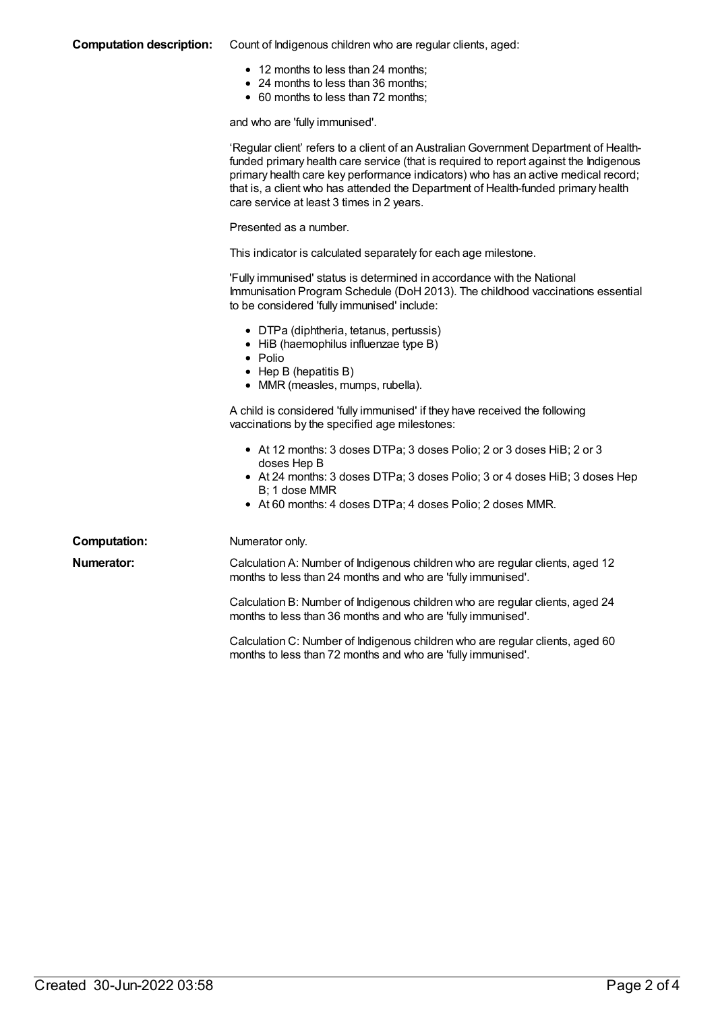#### **Computation description:** Count of Indigenous children who are regular clients, aged:

- 12 months to less than 24 months;
- 24 months to less than 36 months;
- 60 months to less than 72 months;

and who are 'fully immunised'.

|                     | 'Regular client' refers to a client of an Australian Government Department of Health-<br>funded primary health care service (that is required to report against the Indigenous<br>primary health care key performance indicators) who has an active medical record;<br>that is, a client who has attended the Department of Health-funded primary health<br>care service at least 3 times in 2 years. |
|---------------------|-------------------------------------------------------------------------------------------------------------------------------------------------------------------------------------------------------------------------------------------------------------------------------------------------------------------------------------------------------------------------------------------------------|
|                     | Presented as a number.                                                                                                                                                                                                                                                                                                                                                                                |
|                     | This indicator is calculated separately for each age milestone.                                                                                                                                                                                                                                                                                                                                       |
|                     | 'Fully immunised' status is determined in accordance with the National<br>Immunisation Program Schedule (DoH 2013). The childhood vaccinations essential<br>to be considered 'fully immunised' include:                                                                                                                                                                                               |
|                     | • DTPa (diphtheria, tetanus, pertussis)<br>• HiB (haemophilus influenzae type B)<br>$\bullet$ Polio<br>$\bullet$ Hep B (hepatitis B)<br>• MMR (measles, mumps, rubella).                                                                                                                                                                                                                              |
|                     | A child is considered 'fully immunised' if they have received the following<br>vaccinations by the specified age milestones:                                                                                                                                                                                                                                                                          |
|                     | • At 12 months: 3 doses DTPa; 3 doses Polio; 2 or 3 doses HiB; 2 or 3<br>doses Hep B                                                                                                                                                                                                                                                                                                                  |
|                     | • At 24 months: 3 doses DTPa; 3 doses Polio; 3 or 4 doses HiB; 3 doses Hep<br>B: 1 dose MMR<br>• At 60 months: 4 doses DTPa; 4 doses Polio; 2 doses MMR.                                                                                                                                                                                                                                              |
| <b>Computation:</b> | Numerator only.                                                                                                                                                                                                                                                                                                                                                                                       |
| <b>Numerator:</b>   | Calculation A: Number of Indigenous children who are regular clients, aged 12<br>months to less than 24 months and who are 'fully immunised'.                                                                                                                                                                                                                                                         |
|                     | Calculation B: Number of Indigenous children who are regular clients, aged 24<br>months to less than 36 months and who are 'fully immunised'.                                                                                                                                                                                                                                                         |
|                     | Calculation C: Number of Indigenous children who are regular clients, aged 60<br>months to less than 72 months and who are 'fully immunised'.                                                                                                                                                                                                                                                         |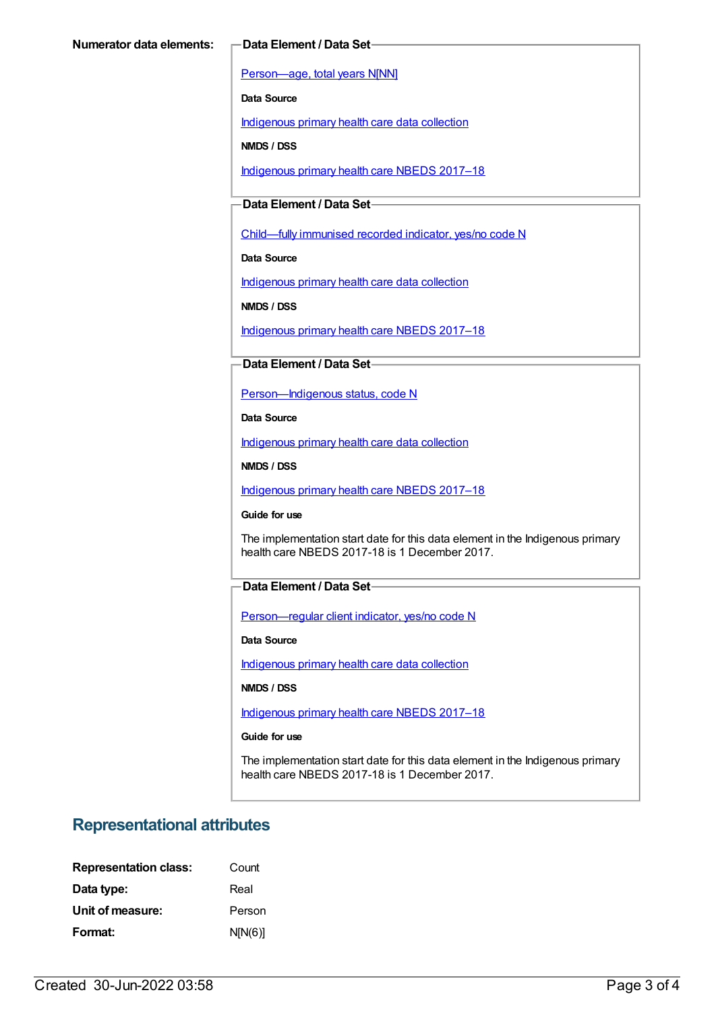[Person—age,](https://meteor.aihw.gov.au/content/303794) total years N[NN]

**Data Source**

[Indigenous](https://meteor.aihw.gov.au/content/430643) primary health care data collection

**NMDS / DSS**

[Indigenous](https://meteor.aihw.gov.au/content/686603) primary health care NBEDS 2017–18

#### **Data Element / Data Set**

[Child—fully](https://meteor.aihw.gov.au/content/457664) immunised recorded indicator, yes/no code N

**Data Source**

[Indigenous](https://meteor.aihw.gov.au/content/430643) primary health care data collection

**NMDS / DSS**

[Indigenous](https://meteor.aihw.gov.au/content/686603) primary health care NBEDS 2017–18

#### **Data Element / Data Set**

[Person—Indigenous](https://meteor.aihw.gov.au/content/602543) status, code N

**Data Source**

[Indigenous](https://meteor.aihw.gov.au/content/430643) primary health care data collection

**NMDS / DSS**

[Indigenous](https://meteor.aihw.gov.au/content/686603) primary health care NBEDS 2017–18

**Guide for use**

The implementation start date for this data element in the Indigenous primary health care NBEDS 2017-18 is 1 December 2017.

#### **Data Element / Data Set**

[Person—regular](https://meteor.aihw.gov.au/content/686291) client indicator, yes/no code N

**Data Source**

[Indigenous](https://meteor.aihw.gov.au/content/430643) primary health care data collection

**NMDS / DSS**

[Indigenous](https://meteor.aihw.gov.au/content/686603) primary health care NBEDS 2017–18

**Guide for use**

The implementation start date for this data element in the Indigenous primary health care NBEDS 2017-18 is 1 December 2017.

### **Representational attributes**

| <b>Representation class:</b> | Count   |
|------------------------------|---------|
| Data type:                   | Real    |
| Unit of measure:             | Person  |
| Format:                      | N[N(6)] |